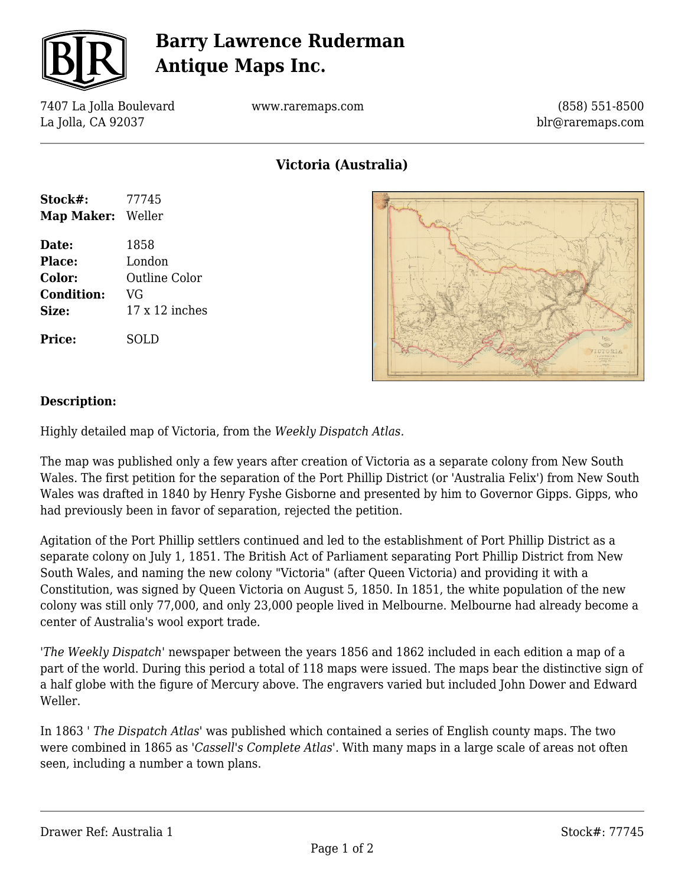

## **Barry Lawrence Ruderman Antique Maps Inc.**

7407 La Jolla Boulevard La Jolla, CA 92037

www.raremaps.com

(858) 551-8500 blr@raremaps.com

**Victoria (Australia)**

| Stock#:<br>Map Maker: | 77745<br>Weller |
|-----------------------|-----------------|
|                       |                 |
| Place:                | London          |
| Color:                | Outline Color   |
| <b>Condition:</b>     | VG              |
| Size:                 | $17x12$ inches  |
| <b>Price:</b>         | SOLD            |



## **Description:**

Highly detailed map of Victoria, from the *Weekly Dispatch Atlas.*

The map was published only a few years after creation of Victoria as a separate colony from New South Wales. The first petition for the separation of the Port Phillip District (or 'Australia Felix') from New South Wales was drafted in 1840 by Henry Fyshe Gisborne and presented by him to Governor Gipps. Gipps, who had previously been in favor of separation, rejected the petition.

Agitation of the Port Phillip settlers continued and led to the establishment of Port Phillip District as a separate colony on July 1, 1851. The British Act of Parliament separating Port Phillip District from New South Wales, and naming the new colony "Victoria" (after Queen Victoria) and providing it with a Constitution, was signed by Queen Victoria on August 5, 1850. In 1851, the white population of the new colony was still only 77,000, and only 23,000 people lived in Melbourne. Melbourne had already become a center of Australia's wool export trade.

*'The Weekly Dispatch*' newspaper between the years 1856 and 1862 included in each edition a map of a part of the world. During this period a total of 118 maps were issued. The maps bear the distinctive sign of a half globe with the figure of Mercury above. The engravers varied but included John Dower and Edward Weller.

In 1863 ' *The Dispatch Atlas'* was published which contained a series of English county maps. The two were combined in 1865 as *'Cassell's Complete Atlas*'. With many maps in a large scale of areas not often seen, including a number a town plans.